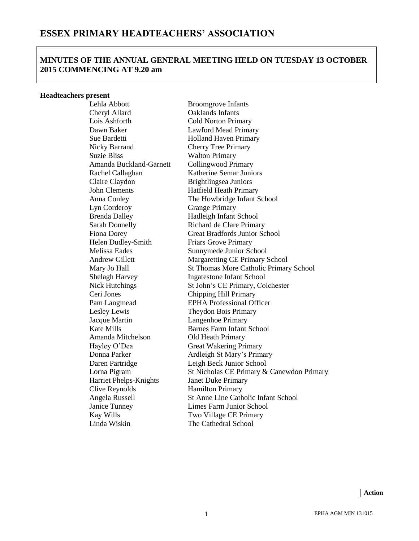# **MINUTES OF THE ANNUAL GENERAL MEETING HELD ON TUESDAY 13 OCTOBER 2015 COMMENCING AT 9.20 am**

#### **Headteachers present**

Cheryl Allard Oaklands Infants Lois Ashforth Cold Norton Primary Dawn Baker Lawford Mead Primary Sue Bardetti **Holland Haven Primary** Nicky Barrand Cherry Tree Primary Suzie Bliss Walton Primary Amanda Buckland-Garnett Collingwood Primary Claire Claydon Brightlingsea Juniors John Clements Hatfield Heath Primary Lyn Corderoy Grange Primary Brenda Dalley Hadleigh Infant School Helen Dudley-Smith Friars Grove Primary Ceri Jones Chipping Hill Primary Lesley Lewis Theydon Bois Primary Jacque Martin Langenhoe Primary Amanda Mitchelson Old Heath Primary Harriet Phelps-Knights Janet Duke Primary Clive Reynolds<br>
Angela Russell<br>
St Anne Line Cath Linda Wiskin The Cathedral School

Lehla Abbott Broomgrove Infants Rachel Callaghan Katherine Semar Juniors Anna Conley The Howbridge Infant School Sarah Donnelly Richard de Clare Primary Fiona Dorey Great Bradfords Junior School Melissa Eades Sunnymede Junior School Andrew Gillett Margaretting CE Primary School Mary Jo Hall St Thomas More Catholic Primary School Shelagh Harvey **Ingatestone Infant School** Nick Hutchings St John's CE Primary, Colchester Pam Langmead EPHA Professional Officer Kate Mills Barnes Farm Infant School Hayley O'Dea Great Wakering Primary Donna Parker Ardleigh St Mary's Primary Daren Partridge Leigh Beck Junior School Lorna Pigram St Nicholas CE Primary & Canewdon Primary St Anne Line Catholic Infant School Janice Tunney Limes Farm Junior School Kay Wills Two Village CE Primary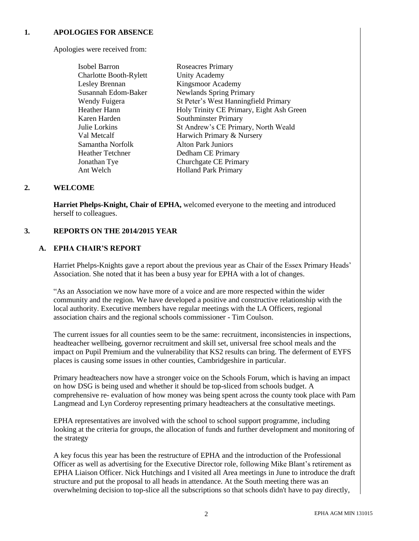# **1. APOLOGIES FOR ABSENCE**

Apologies were received from:

| <b>Isobel Barron</b>    | <b>Roseacres Primary</b>                 |
|-------------------------|------------------------------------------|
| Charlotte Booth-Rylett  | <b>Unity Academy</b>                     |
| Lesley Brennan          | Kingsmoor Academy                        |
| Susannah Edom-Baker     | <b>Newlands Spring Primary</b>           |
| Wendy Fuigera           | St Peter's West Hanningfield Primary     |
| Heather Hann            | Holy Trinity CE Primary, Eight Ash Green |
| Karen Harden            | Southminster Primary                     |
| Julie Lorkins           | St Andrew's CE Primary, North Weald      |
| Val Metcalf             | Harwich Primary & Nursery                |
| Samantha Norfolk        | <b>Alton Park Juniors</b>                |
| <b>Heather Tetchner</b> | Dedham CE Primary                        |
| Jonathan Tye            | Churchgate CE Primary                    |
| Ant Welch               | <b>Holland Park Primary</b>              |

## **2. WELCOME**

**Harriet Phelps-Knight, Chair of EPHA,** welcomed everyone to the meeting and introduced herself to colleagues.

#### **3. REPORTS ON THE 2014/2015 YEAR**

## **A. EPHA CHAIR'S REPORT**

Harriet Phelps-Knights gave a report about the previous year as Chair of the Essex Primary Heads' Association. She noted that it has been a busy year for EPHA with a lot of changes.

"As an Association we now have more of a voice and are more respected within the wider community and the region. We have developed a positive and constructive relationship with the local authority. Executive members have regular meetings with the LA Officers, regional association chairs and the regional schools commissioner - Tim Coulson.

The current issues for all counties seem to be the same: recruitment, inconsistencies in inspections, headteacher wellbeing, governor recruitment and skill set, universal free school meals and the impact on Pupil Premium and the vulnerability that KS2 results can bring. The deferment of EYFS places is causing some issues in other counties, Cambridgeshire in particular.

Primary headteachers now have a stronger voice on the Schools Forum, which is having an impact on how DSG is being used and whether it should be top-sliced from schools budget. A comprehensive re- evaluation of how money was being spent across the county took place with Pam Langmead and Lyn Corderoy representing primary headteachers at the consultative meetings.

EPHA representatives are involved with the school to school support programme, including looking at the criteria for groups, the allocation of funds and further development and monitoring of the strategy

A key focus this year has been the restructure of EPHA and the introduction of the Professional Officer as well as advertising for the Executive Director role, following Mike Blant's retirement as EPHA Liaison Officer. Nick Hutchings and I visited all Area meetings in June to introduce the draft structure and put the proposal to all heads in attendance. At the South meeting there was an overwhelming decision to top-slice all the subscriptions so that schools didn't have to pay directly,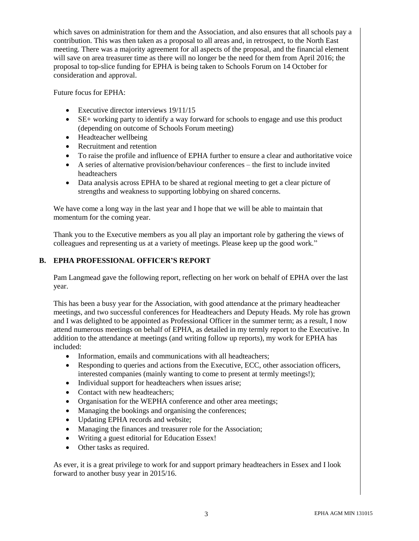which saves on administration for them and the Association, and also ensures that all schools pay a contribution. This was then taken as a proposal to all areas and, in retrospect, to the North East meeting. There was a majority agreement for all aspects of the proposal, and the financial element will save on area treasurer time as there will no longer be the need for them from April 2016; the proposal to top-slice funding for EPHA is being taken to Schools Forum on 14 October for consideration and approval.

Future focus for EPHA:

- Executive director interviews 19/11/15
- SE+ working party to identify a way forward for schools to engage and use this product (depending on outcome of Schools Forum meeting)
- Headteacher wellbeing
- Recruitment and retention
- To raise the profile and influence of EPHA further to ensure a clear and authoritative voice
- A series of alternative provision/behaviour conferences the first to include invited headteachers
- Data analysis across EPHA to be shared at regional meeting to get a clear picture of strengths and weakness to supporting lobbying on shared concerns.

We have come a long way in the last year and I hope that we will be able to maintain that momentum for the coming year.

Thank you to the Executive members as you all play an important role by gathering the views of colleagues and representing us at a variety of meetings. Please keep up the good work."

# **B. EPHA PROFESSIONAL OFFICER'S REPORT**

Pam Langmead gave the following report, reflecting on her work on behalf of EPHA over the last year.

This has been a busy year for the Association, with good attendance at the primary headteacher meetings, and two successful conferences for Headteachers and Deputy Heads. My role has grown and I was delighted to be appointed as Professional Officer in the summer term; as a result, I now attend numerous meetings on behalf of EPHA, as detailed in my termly report to the Executive. In addition to the attendance at meetings (and writing follow up reports), my work for EPHA has included:

- Information, emails and communications with all headteachers;
- Responding to queries and actions from the Executive, ECC, other association officers, interested companies (mainly wanting to come to present at termly meetings!);
- Individual support for headteachers when issues arise;
- Contact with new headteachers;
- Organisation for the WEPHA conference and other area meetings;
- Managing the bookings and organising the conferences;
- Updating EPHA records and website;
- Managing the finances and treasurer role for the Association;
- Writing a guest editorial for Education Essex!
- Other tasks as required.

As ever, it is a great privilege to work for and support primary headteachers in Essex and I look forward to another busy year in 2015/16.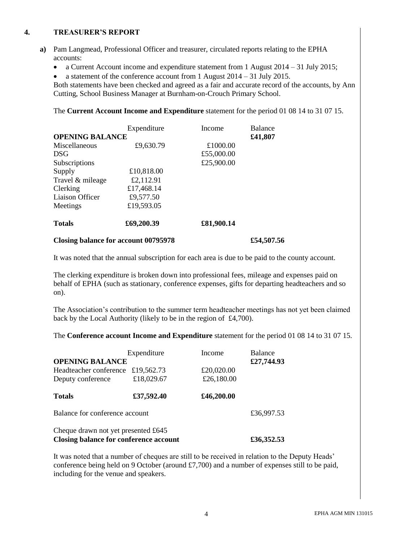#### **4. TREASURER'S REPORT**

- **a)** Pam Langmead, Professional Officer and treasurer, circulated reports relating to the EPHA accounts:
	- a Current Account income and expenditure statement from 1 August 2014 31 July 2015;
	- a statement of the conference account from 1 August  $2014 31$  July 2015.

Both statements have been checked and agreed as a fair and accurate record of the accounts, by Ann Cutting, School Business Manager at Burnham-on-Crouch Primary School.

The **Current Account Income and Expenditure** statement for the period 01 08 14 to 31 07 15.

| <b>OPENING BALANCE</b> | Expenditure | Income     | <b>Balance</b><br>£41,807 |
|------------------------|-------------|------------|---------------------------|
| Miscellaneous          | £9,630.79   | £1000.00   |                           |
| <b>DSG</b>             |             | £55,000.00 |                           |
| Subscriptions          |             | £25,900.00 |                           |
| Supply                 | £10,818.00  |            |                           |
| Travel & mileage       | £2,112.91   |            |                           |
| Clerking               | £17,468.14  |            |                           |
| Liaison Officer        | £9,577.50   |            |                           |
| Meetings               | £19,593.05  |            |                           |
| <b>Totals</b>          | £69,200.39  | £81,900.14 |                           |

### **Closing balance for account 00795978 £54,507.56**

It was noted that the annual subscription for each area is due to be paid to the county account.

The clerking expenditure is broken down into professional fees, mileage and expenses paid on behalf of EPHA (such as stationary, conference expenses, gifts for departing headteachers and so on).

The Association's contribution to the summer term headteacher meetings has not yet been claimed back by the Local Authority (likely to be in the region of £4,700).

The **Conference account Income and Expenditure** statement for the period 01 08 14 to 31 07 15.

| <b>OPENING BALANCE</b>                                                        | Expenditure | Income     | <b>Balance</b><br>£27,744.93 |
|-------------------------------------------------------------------------------|-------------|------------|------------------------------|
| Headteacher conference                                                        | £19,562.73  | £20,020.00 |                              |
| Deputy conference                                                             | £18,029.67  | £26,180.00 |                              |
| <b>Totals</b>                                                                 | £37,592.40  | £46,200.00 |                              |
| Balance for conference account                                                |             |            | £36,997.53                   |
| Cheque drawn not yet presented £645<br>Closing balance for conference account |             |            | £36,352.53                   |

It was noted that a number of cheques are still to be received in relation to the Deputy Heads' conference being held on 9 October (around  $\text{\pounds}7,700$ ) and a number of expenses still to be paid, including for the venue and speakers.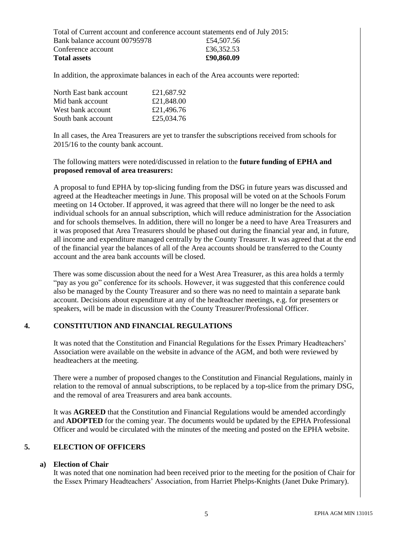Total of Current account and conference account statements end of July 2015: Bank balance account 00795978 £54,507.56 Conference account  $£36,352.53$ **Total assets £90,860.09** 

In addition, the approximate balances in each of the Area accounts were reported:

| North East bank account | £21,687.92 |
|-------------------------|------------|
| Mid bank account        | £21,848.00 |
| West bank account       | £21,496.76 |
| South bank account      | £25,034.76 |

In all cases, the Area Treasurers are yet to transfer the subscriptions received from schools for 2015/16 to the county bank account.

The following matters were noted/discussed in relation to the **future funding of EPHA and proposed removal of area treasurers:**

A proposal to fund EPHA by top-slicing funding from the DSG in future years was discussed and agreed at the Headteacher meetings in June. This proposal will be voted on at the Schools Forum meeting on 14 October. If approved, it was agreed that there will no longer be the need to ask individual schools for an annual subscription, which will reduce administration for the Association and for schools themselves. In addition, there will no longer be a need to have Area Treasurers and it was proposed that Area Treasurers should be phased out during the financial year and, in future, all income and expenditure managed centrally by the County Treasurer. It was agreed that at the end of the financial year the balances of all of the Area accounts should be transferred to the County account and the area bank accounts will be closed.

There was some discussion about the need for a West Area Treasurer, as this area holds a termly "pay as you go" conference for its schools. However, it was suggested that this conference could also be managed by the County Treasurer and so there was no need to maintain a separate bank account. Decisions about expenditure at any of the headteacher meetings, e.g. for presenters or speakers, will be made in discussion with the County Treasurer/Professional Officer.

## **4. CONSTITUTION AND FINANCIAL REGULATIONS**

It was noted that the Constitution and Financial Regulations for the Essex Primary Headteachers' Association were available on the website in advance of the AGM, and both were reviewed by headteachers at the meeting.

There were a number of proposed changes to the Constitution and Financial Regulations, mainly in relation to the removal of annual subscriptions, to be replaced by a top-slice from the primary DSG, and the removal of area Treasurers and area bank accounts.

It was **AGREED** that the Constitution and Financial Regulations would be amended accordingly and **ADOPTED** for the coming year. The documents would be updated by the EPHA Professional Officer and would be circulated with the minutes of the meeting and posted on the EPHA website.

#### **5. ELECTION OF OFFICERS**

## **a) Election of Chair**

It was noted that one nomination had been received prior to the meeting for the position of Chair for the Essex Primary Headteachers' Association, from Harriet Phelps-Knights (Janet Duke Primary).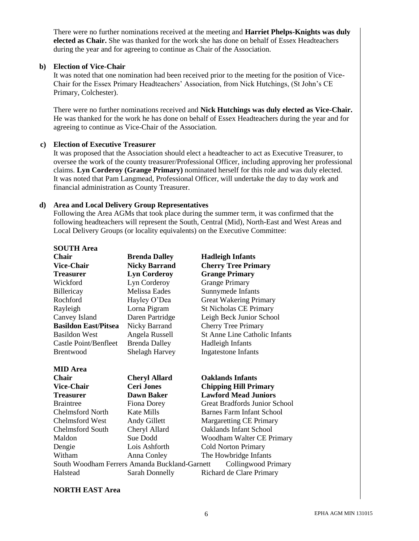There were no further nominations received at the meeting and **Harriet Phelps-Knights was duly elected as Chair.** She was thanked for the work she has done on behalf of Essex Headteachers during the year and for agreeing to continue as Chair of the Association.

#### **b) Election of Vice-Chair**

It was noted that one nomination had been received prior to the meeting for the position of Vice-Chair for the Essex Primary Headteachers' Association, from Nick Hutchings, (St John's CE Primary, Colchester).

There were no further nominations received and **Nick Hutchings was duly elected as Vice-Chair.** He was thanked for the work he has done on behalf of Essex Headteachers during the year and for agreeing to continue as Vice-Chair of the Association.

### **c) Election of Executive Treasurer**

It was proposed that the Association should elect a headteacher to act as Executive Treasurer, to oversee the work of the county treasurer/Professional Officer, including approving her professional claims. **Lyn Corderoy (Grange Primary)** nominated herself for this role and was duly elected. It was noted that Pam Langmead, Professional Officer, will undertake the day to day work and financial administration as County Treasurer.

### **d) Area and Local Delivery Group Representatives**

Following the Area AGMs that took place during the summer term, it was confirmed that the following headteachers will represent the South, Central (Mid), North-East and West Areas and Local Delivery Groups (or locality equivalents) on the Executive Committee:

| <b>SOUTH Area</b>           |                       |                                      |
|-----------------------------|-----------------------|--------------------------------------|
| <b>Chair</b>                | <b>Brenda Dalley</b>  | <b>Hadleigh Infants</b>              |
| <b>Vice-Chair</b>           | <b>Nicky Barrand</b>  | <b>Cherry Tree Primary</b>           |
| <b>Treasurer</b>            | <b>Lyn Corderoy</b>   | <b>Grange Primary</b>                |
| Wickford                    | Lyn Corderoy          | <b>Grange Primary</b>                |
| Billericay                  | <b>Melissa Eades</b>  | Sunnymede Infants                    |
| Rochford                    | Hayley O'Dea          | <b>Great Wakering Primary</b>        |
| Rayleigh                    | Lorna Pigram          | <b>St Nicholas CE Primary</b>        |
| Canvey Island               | Daren Partridge       | Leigh Beck Junior School             |
| <b>Basildon East/Pitsea</b> | Nicky Barrand         | <b>Cherry Tree Primary</b>           |
| <b>Basildon West</b>        | Angela Russell        | <b>St Anne Line Catholic Infants</b> |
| Castle Point/Benfleet       | <b>Brenda Dalley</b>  | Hadleigh Infants                     |
| <b>Brentwood</b>            | <b>Shelagh Harvey</b> | Ingatestone Infants                  |
| <b>MID</b> Area             |                       |                                      |
| <b>Chair</b>                | <b>Cheryl Allard</b>  | <b>Oaklands Infants</b>              |
| 17. UU                      | $\sim$ $\sim$ $\sim$  | $\alpha$ . Then                      |

| <b>Vice-Chair</b>       | <b>Ceri Jones</b>                             | <b>Chipping Hill Primary</b>     |
|-------------------------|-----------------------------------------------|----------------------------------|
| <b>Treasurer</b>        | <b>Dawn Baker</b>                             | <b>Lawford Mead Juniors</b>      |
| <b>Braintree</b>        | <b>Fiona Dorey</b>                            | Great Bradfords Junior School    |
| <b>Chelmsford North</b> | Kate Mills                                    | <b>Barnes Farm Infant School</b> |
| Chelmsford West         | Andy Gillett                                  | <b>Margaretting CE Primary</b>   |
| Chelmsford South        | Cheryl Allard                                 | <b>Oaklands Infant School</b>    |
| Maldon                  | Sue Dodd                                      | Woodham Walter CE Primary        |
| Dengie                  | Lois Ashforth                                 | <b>Cold Norton Primary</b>       |
| Witham                  | Anna Conley                                   | The Howbridge Infants            |
|                         | South Woodham Ferrers Amanda Buckland-Garnett | Collingwood Primary              |
| Halstead                | Sarah Donnelly                                | Richard de Clare Primary         |

#### **NORTH EAST Area**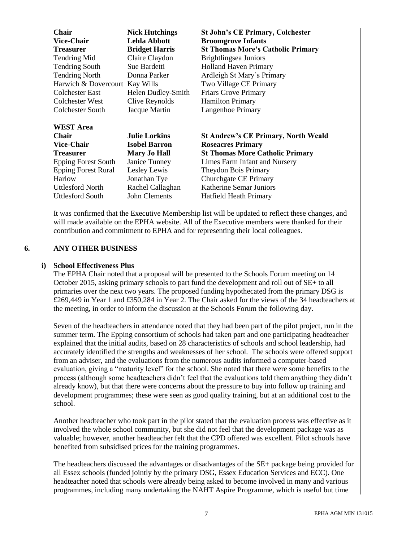| <b>Chair</b>                   | <b>Nick Hutchings</b> | <b>St John's CE Primary, Colchester</b>    |
|--------------------------------|-----------------------|--------------------------------------------|
| <b>Vice-Chair</b>              | <b>Lehla Abbott</b>   | <b>Broomgrove Infants</b>                  |
| <b>Treasurer</b>               | <b>Bridget Harris</b> | <b>St Thomas More's Catholic Primary</b>   |
| Tendring Mid                   | Claire Claydon        | Brightlingsea Juniors                      |
| <b>Tendring South</b>          | Sue Bardetti          | <b>Holland Haven Primary</b>               |
| <b>Tendring North</b>          | Donna Parker          | Ardleigh St Mary's Primary                 |
| Harwich & Dovercourt Kay Wills |                       | Two Village CE Primary                     |
| Colchester East                | Helen Dudley-Smith    | <b>Friars Grove Primary</b>                |
| Colchester West                | Clive Reynolds        | <b>Hamilton Primary</b>                    |
| Colchester South               | Jacque Martin         | Langenhoe Primary                          |
| <b>WEST Area</b>               |                       |                                            |
| <b>Chair</b>                   | <b>Julie Lorkins</b>  | <b>St Andrew's CE Primary, North Weald</b> |
| <b>Vice-Chair</b>              | <b>Isobel Barron</b>  | <b>Roseacres Primary</b>                   |
| <b>Treasurer</b>               | <b>Mary Jo Hall</b>   | <b>St Thomas More Catholic Primary</b>     |
| <b>Epping Forest South</b>     | Janice Tunney         | Limes Farm Infant and Nursery              |
| <b>Epping Forest Rural</b>     | Lesley Lewis          | Theydon Bois Primary                       |
| Harlow                         | Jonathan Tye          | Churchgate CE Primary                      |
| Uttlesford North               | Rachel Callaghan      | Katherine Semar Juniors                    |
| Uttlesford South               | <b>John Clements</b>  | <b>Hatfield Heath Primary</b>              |
|                                |                       |                                            |

It was confirmed that the Executive Membership list will be updated to reflect these changes, and will made available on the EPHA website. All of the Executive members were thanked for their contribution and commitment to EPHA and for representing their local colleagues.

#### **6. ANY OTHER BUSINESS**

## **i) School Effectiveness Plus**

The EPHA Chair noted that a proposal will be presented to the Schools Forum meeting on 14 October 2015, asking primary schools to part fund the development and roll out of SE+ to all primaries over the next two years. The proposed funding hypothecated from the primary DSG is £269,449 in Year 1 and £350,284 in Year 2. The Chair asked for the views of the 34 headteachers at the meeting, in order to inform the discussion at the Schools Forum the following day.

Seven of the headteachers in attendance noted that they had been part of the pilot project, run in the summer term. The Epping consortium of schools had taken part and one participating headteacher explained that the initial audits, based on 28 characteristics of schools and school leadership, had accurately identified the strengths and weaknesses of her school. The schools were offered support from an adviser, and the evaluations from the numerous audits informed a computer-based evaluation, giving a "maturity level" for the school. She noted that there were some benefits to the process (although some headteachers didn't feel that the evaluations told them anything they didn't already know), but that there were concerns about the pressure to buy into follow up training and development programmes; these were seen as good quality training, but at an additional cost to the school.

Another headteacher who took part in the pilot stated that the evaluation process was effective as it involved the whole school community, but she did not feel that the development package was as valuable; however, another headteacher felt that the CPD offered was excellent. Pilot schools have benefited from subsidised prices for the training programmes.

The headteachers discussed the advantages or disadvantages of the SE+ package being provided for all Essex schools (funded jointly by the primary DSG, Essex Education Services and ECC). One headteacher noted that schools were already being asked to become involved in many and various programmes, including many undertaking the NAHT Aspire Programme, which is useful but time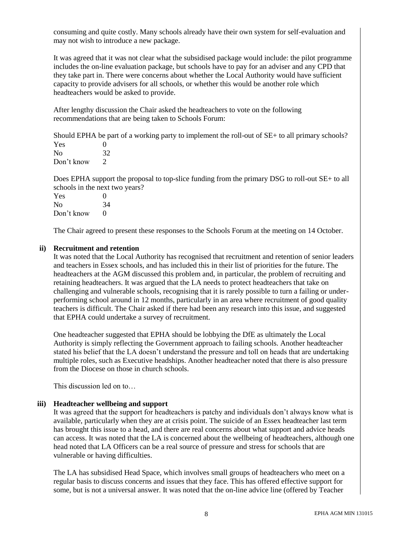consuming and quite costly. Many schools already have their own system for self-evaluation and may not wish to introduce a new package.

It was agreed that it was not clear what the subsidised package would include: the pilot programme includes the on-line evaluation package, but schools have to pay for an adviser and any CPD that they take part in. There were concerns about whether the Local Authority would have sufficient capacity to provide advisers for all schools, or whether this would be another role which headteachers would be asked to provide.

After lengthy discussion the Chair asked the headteachers to vote on the following recommendations that are being taken to Schools Forum:

Should EPHA be part of a working party to implement the roll-out of SE+ to all primary schools?  $V_{\alpha}$  0

| - I LO     | ., |
|------------|----|
| No         | 32 |
| Don't know | 2  |

Does EPHA support the proposal to top-slice funding from the primary DSG to roll-out SE+ to all schools in the next two years?

| Yes        | 0                 |
|------------|-------------------|
| No         | 34                |
| Don't know | $\mathbf{\Omega}$ |

The Chair agreed to present these responses to the Schools Forum at the meeting on 14 October.

## **ii) Recruitment and retention**

It was noted that the Local Authority has recognised that recruitment and retention of senior leaders and teachers in Essex schools, and has included this in their list of priorities for the future. The headteachers at the AGM discussed this problem and, in particular, the problem of recruiting and retaining headteachers. It was argued that the LA needs to protect headteachers that take on challenging and vulnerable schools, recognising that it is rarely possible to turn a failing or underperforming school around in 12 months, particularly in an area where recruitment of good quality teachers is difficult. The Chair asked if there had been any research into this issue, and suggested that EPHA could undertake a survey of recruitment.

One headteacher suggested that EPHA should be lobbying the DfE as ultimately the Local Authority is simply reflecting the Government approach to failing schools. Another headteacher stated his belief that the LA doesn't understand the pressure and toll on heads that are undertaking multiple roles, such as Executive headships. Another headteacher noted that there is also pressure from the Diocese on those in church schools.

This discussion led on to…

## **iii) Headteacher wellbeing and support**

It was agreed that the support for headteachers is patchy and individuals don't always know what is available, particularly when they are at crisis point. The suicide of an Essex headteacher last term has brought this issue to a head, and there are real concerns about what support and advice heads can access. It was noted that the LA is concerned about the wellbeing of headteachers, although one head noted that LA Officers can be a real source of pressure and stress for schools that are vulnerable or having difficulties.

The LA has subsidised Head Space, which involves small groups of headteachers who meet on a regular basis to discuss concerns and issues that they face. This has offered effective support for some, but is not a universal answer. It was noted that the on-line advice line (offered by Teacher